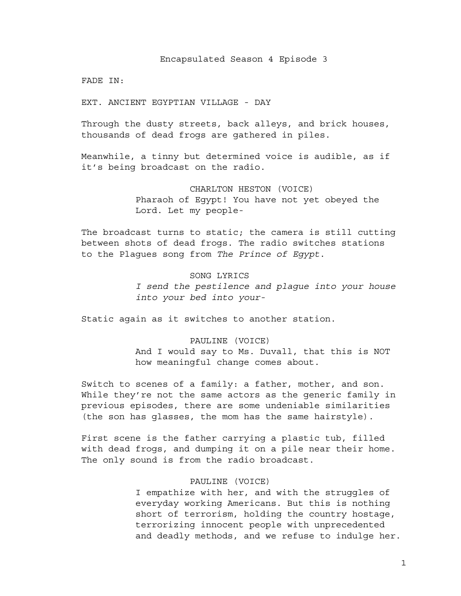FADE IN:

EXT. ANCIENT EGYPTIAN VILLAGE - DAY

Through the dusty streets, back alleys, and brick houses, thousands of dead frogs are gathered in piles.

Meanwhile, a tinny but determined voice is audible, as if it's being broadcast on the radio.

> CHARLTON HESTON (VOICE) Pharaoh of Egypt! You have not yet obeyed the Lord. Let my people-

The broadcast turns to static; the camera is still cutting between shots of dead frogs. The radio switches stations to the Plagues song from *The Prince of Egypt*.

#### SONG LYRICS

*I send the pestilence and plague into your house into your bed into your-*

Static again as it switches to another station.

## PAULINE (VOICE)

And I would say to Ms. Duvall, that this is NOT how meaningful change comes about.

Switch to scenes of a family: a father, mother, and son. While they're not the same actors as the generic family in previous episodes, there are some undeniable similarities (the son has glasses, the mom has the same hairstyle).

First scene is the father carrying a plastic tub, filled with dead frogs, and dumping it on a pile near their home. The only sound is from the radio broadcast.

## PAULINE (VOICE)

I empathize with her, and with the struggles of everyday working Americans. But this is nothing short of terrorism, holding the country hostage, terrorizing innocent people with unprecedented and deadly methods, and we refuse to indulge her.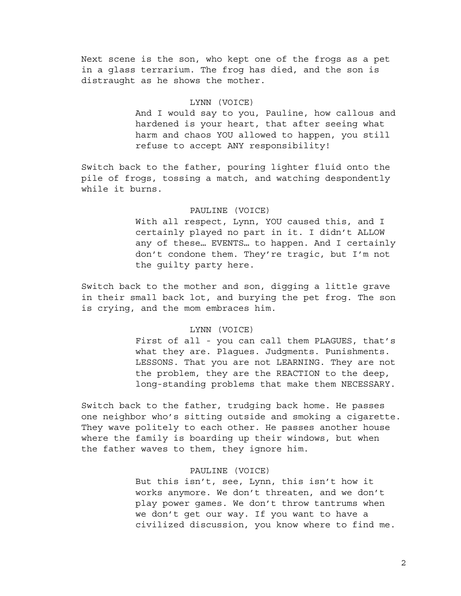Next scene is the son, who kept one of the frogs as a pet in a glass terrarium. The frog has died, and the son is distraught as he shows the mother.

### LYNN (VOICE)

And I would say to you, Pauline, how callous and hardened is your heart, that after seeing what harm and chaos YOU allowed to happen, you still refuse to accept ANY responsibility!

Switch back to the father, pouring lighter fluid onto the pile of frogs, tossing a match, and watching despondently while it burns.

## PAULINE (VOICE)

With all respect, Lynn, YOU caused this, and I certainly played no part in it. I didn't ALLOW any of these… EVENTS… to happen. And I certainly don't condone them. They're tragic, but I'm not the guilty party here.

Switch back to the mother and son, digging a little grave in their small back lot, and burying the pet frog. The son is crying, and the mom embraces him.

### LYNN (VOICE)

First of all - you can call them PLAGUES, that's what they are. Plagues. Judgments. Punishments. LESSONS. That you are not LEARNING. They are not the problem, they are the REACTION to the deep, long-standing problems that make them NECESSARY.

Switch back to the father, trudging back home. He passes one neighbor who's sitting outside and smoking a cigarette. They wave politely to each other. He passes another house where the family is boarding up their windows, but when the father waves to them, they ignore him.

## PAULINE (VOICE)

But this isn't, see, Lynn, this isn't how it works anymore. We don't threaten, and we don't play power games. We don't throw tantrums when we don't get our way. If you want to have a civilized discussion, you know where to find me.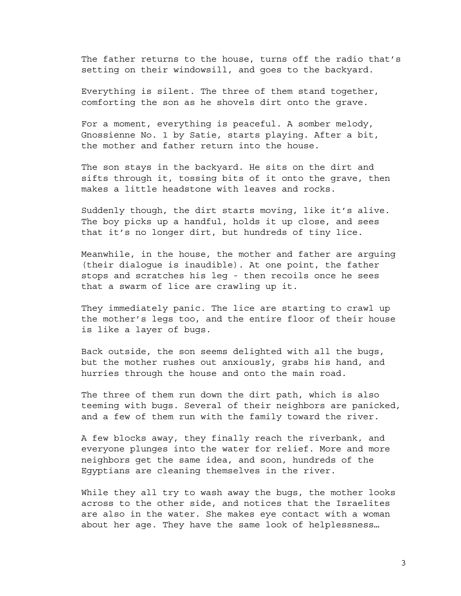The father returns to the house, turns off the radio that's setting on their windowsill, and goes to the backyard.

Everything is silent. The three of them stand together, comforting the son as he shovels dirt onto the grave.

For a moment, everything is peaceful. A somber melody, Gnossienne No. 1 by Satie, starts playing. After a bit, the mother and father return into the house.

The son stays in the backyard. He sits on the dirt and sifts through it, tossing bits of it onto the grave, then makes a little headstone with leaves and rocks.

Suddenly though, the dirt starts moving, like it's alive. The boy picks up a handful, holds it up close, and sees that it's no longer dirt, but hundreds of tiny lice.

Meanwhile, in the house, the mother and father are arguing (their dialogue is inaudible). At one point, the father stops and scratches his leg - then recoils once he sees that a swarm of lice are crawling up it.

They immediately panic. The lice are starting to crawl up the mother's legs too, and the entire floor of their house is like a layer of bugs.

Back outside, the son seems delighted with all the bugs, but the mother rushes out anxiously, grabs his hand, and hurries through the house and onto the main road.

The three of them run down the dirt path, which is also teeming with bugs. Several of their neighbors are panicked, and a few of them run with the family toward the river.

A few blocks away, they finally reach the riverbank, and everyone plunges into the water for relief. More and more neighbors get the same idea, and soon, hundreds of the Egyptians are cleaning themselves in the river.

While they all try to wash away the bugs, the mother looks across to the other side, and notices that the Israelites are also in the water. She makes eye contact with a woman about her age. They have the same look of helplessness…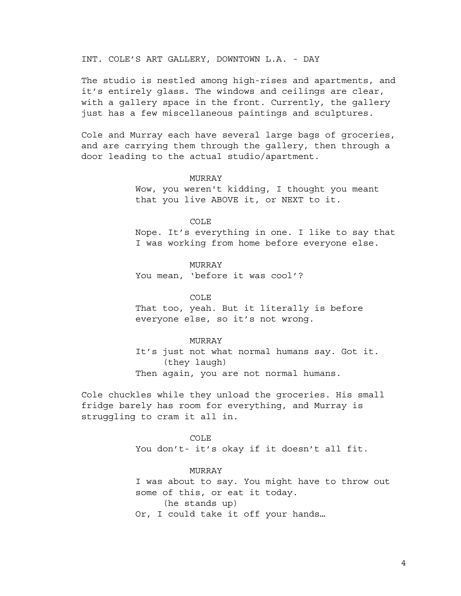INT. COLE'S ART GALLERY, DOWNTOWN L.A. - DAY

The studio is nestled among high-rises and apartments, and it's entirely glass. The windows and ceilings are clear, with a gallery space in the front. Currently, the gallery just has a few miscellaneous paintings and sculptures.

Cole and Murray each have several large bags of groceries, and are carrying them through the gallery, then through a door leading to the actual studio/apartment.

## MURRAY

Wow, you weren't kidding, I thought you meant that you live ABOVE it, or NEXT to it.

#### COLE

Nope. It's everything in one. I like to say that I was working from home before everyone else.

## MURRAY

You mean, 'before it was cool'?

COLE

That too, yeah. But it literally is before everyone else, so it's not wrong.

#### MURRAY

It's just not what normal humans say. Got it. (they laugh) Then again, you are not normal humans.

Cole chuckles while they unload the groceries. His small fridge barely has room for everything, and Murray is struggling to cram it all in.

> COLE You don't- it's okay if it doesn't all fit.

### MURRAY

I was about to say. You might have to throw out some of this, or eat it today. (he stands up) Or, I could take it off your hands…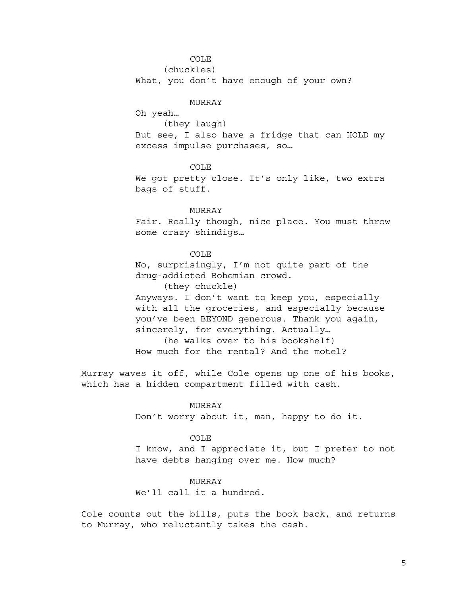## COLE

(chuckles)

What, you don't have enough of your own?

#### MURRAY

Oh yeah…

(they laugh)

But see, I also have a fridge that can HOLD my excess impulse purchases, so…

## COLE

We got pretty close. It's only like, two extra bags of stuff.

## MURRAY

Fair. Really though, nice place. You must throw some crazy shindigs…

## COLE

No, surprisingly, I'm not quite part of the drug-addicted Bohemian crowd.

(they chuckle)

Anyways. I don't want to keep you, especially with all the groceries, and especially because you've been BEYOND generous. Thank you again, sincerely, for everything. Actually… (he walks over to his bookshelf)

How much for the rental? And the motel?

Murray waves it off, while Cole opens up one of his books, which has a hidden compartment filled with cash.

## MURRAY

Don't worry about it, man, happy to do it.

### COLE

I know, and I appreciate it, but I prefer to not have debts hanging over me. How much?

### MURRAY

We'll call it a hundred.

Cole counts out the bills, puts the book back, and returns to Murray, who reluctantly takes the cash.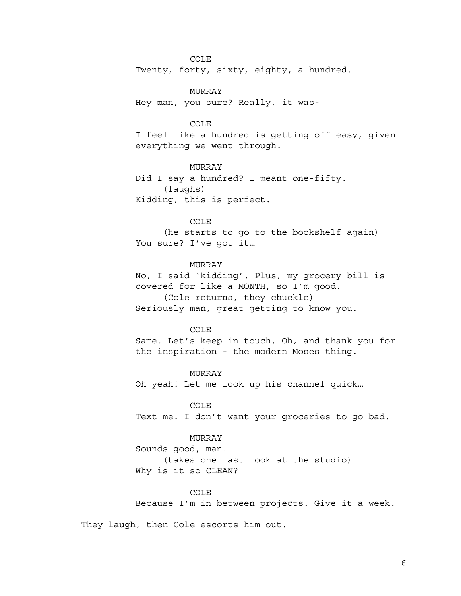COLE

Twenty, forty, sixty, eighty, a hundred.

MURRAY

Hey man, you sure? Really, it was-

### COLE

I feel like a hundred is getting off easy, given everything we went through.

MURRAY Did I say a hundred? I meant one-fifty. (laughs) Kidding, this is perfect.

## COLE

(he starts to go to the bookshelf again) You sure? I've got it…

## MURRAY

No, I said 'kidding'. Plus, my grocery bill is covered for like a MONTH, so I'm good. (Cole returns, they chuckle)

Seriously man, great getting to know you.

#### COLE

Same. Let's keep in touch, Oh, and thank you for the inspiration - the modern Moses thing.

MURRAY Oh yeah! Let me look up his channel quick…

## COLE

Text me. I don't want your groceries to go bad.

### MURRAY

Sounds good, man.

(takes one last look at the studio) Why is it so CLEAN?

#### COLE

Because I'm in between projects. Give it a week.

They laugh, then Cole escorts him out.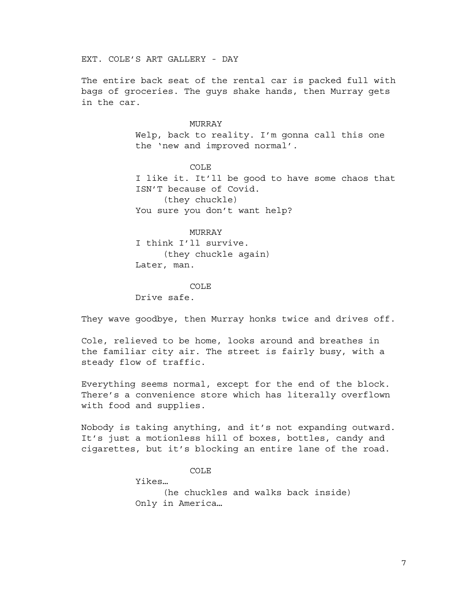EXT. COLE'S ART GALLERY - DAY

The entire back seat of the rental car is packed full with bags of groceries. The guys shake hands, then Murray gets in the car.

## MURRAY

Welp, back to reality. I'm gonna call this one the 'new and improved normal'.

COLE I like it. It'll be good to have some chaos that ISN'T because of Covid. (they chuckle)

You sure you don't want help?

MURRAY

I think I'll survive. (they chuckle again) Later, man.

COLE

Drive safe.

They wave goodbye, then Murray honks twice and drives off.

Cole, relieved to be home, looks around and breathes in the familiar city air. The street is fairly busy, with a steady flow of traffic.

Everything seems normal, except for the end of the block. There's a convenience store which has literally overflown with food and supplies.

Nobody is taking anything, and it's not expanding outward. It's just a motionless hill of boxes, bottles, candy and cigarettes, but it's blocking an entire lane of the road.

COLE

Yikes…

(he chuckles and walks back inside) Only in America…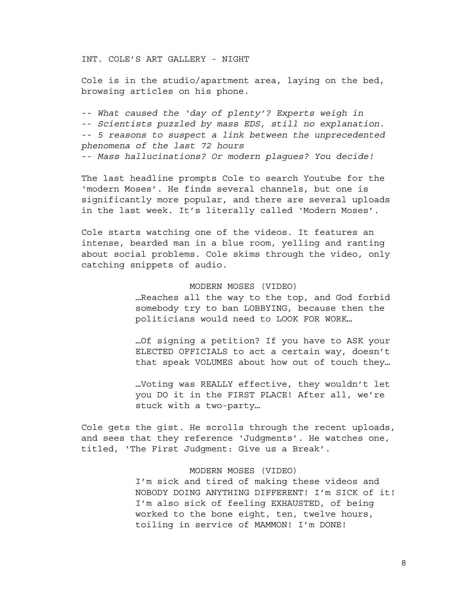INT. COLE'S ART GALLERY - NIGHT

Cole is in the studio/apartment area, laying on the bed, browsing articles on his phone.

-- *What caused the 'day of plenty'? Experts weigh in* -- *Scientists puzzled by mass EDS, still no explanation.* -- *5 reasons to suspect a link between the unprecedented phenomena of the last 72 hours* -- *Mass hallucinations? Or modern plagues? You decide!*

The last headline prompts Cole to search Youtube for the 'modern Moses'. He finds several channels, but one is significantly more popular, and there are several uploads in the last week. It's literally called 'Modern Moses'.

Cole starts watching one of the videos. It features an intense, bearded man in a blue room, yelling and ranting about social problems. Cole skims through the video, only catching snippets of audio.

#### MODERN MOSES (VIDEO)

…Reaches all the way to the top, and God forbid somebody try to ban LOBBYING, because then the politicians would need to LOOK FOR WORK…

…Of signing a petition? If you have to ASK your ELECTED OFFICIALS to act a certain way, doesn't that speak VOLUMES about how out of touch they…

…Voting was REALLY effective, they wouldn't let you DO it in the FIRST PLACE! After all, we're stuck with a two-party…

Cole gets the gist. He scrolls through the recent uploads, and sees that they reference 'Judgments'. He watches one, titled, 'The First Judgment: Give us a Break'.

### MODERN MOSES (VIDEO)

I'm sick and tired of making these videos and NOBODY DOING ANYTHING DIFFERENT! I'm SICK of it! I'm also sick of feeling EXHAUSTED, of being worked to the bone eight, ten, twelve hours, toiling in service of MAMMON! I'm DONE!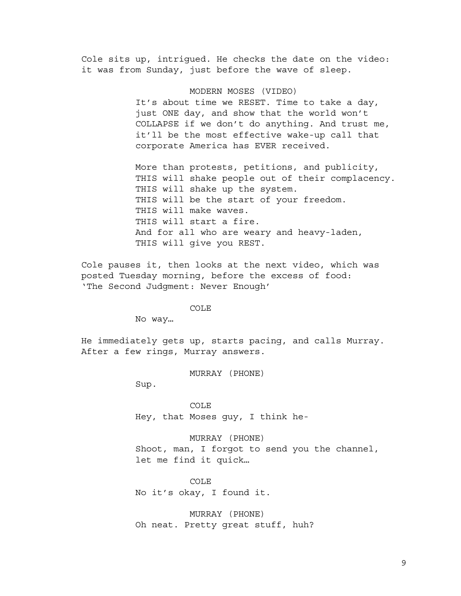Cole sits up, intrigued. He checks the date on the video: it was from Sunday, just before the wave of sleep.

> MODERN MOSES (VIDEO) It's about time we RESET. Time to take a day, just ONE day, and show that the world won't COLLAPSE if we don't do anything. And trust me, it'll be the most effective wake-up call that corporate America has EVER received.

More than protests, petitions, and publicity, THIS will shake people out of their complacency. THIS will shake up the system. THIS will be the start of your freedom. THIS will make waves. THIS will start a fire. And for all who are weary and heavy-laden, THIS will give you REST.

Cole pauses it, then looks at the next video, which was posted Tuesday morning, before the excess of food: 'The Second Judgment: Never Enough'

COLE

No way…

He immediately gets up, starts pacing, and calls Murray. After a few rings, Murray answers.

MURRAY (PHONE)

Sup.

COLE Hey, that Moses guy, I think he-

MURRAY (PHONE) Shoot, man, I forgot to send you the channel, let me find it quick…

COLE No it's okay, I found it.

MURRAY (PHONE) Oh neat. Pretty great stuff, huh?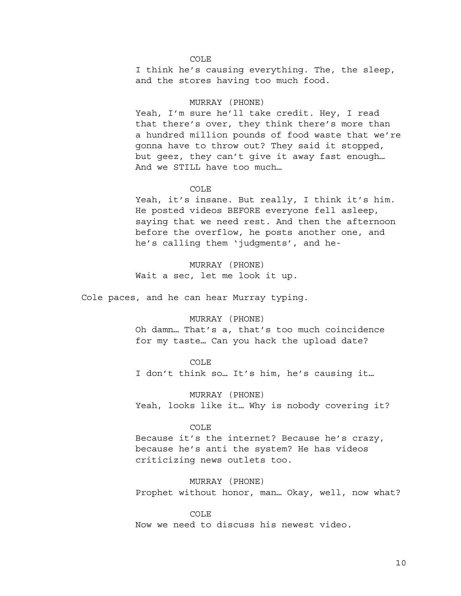### COLE

I think he's causing everything. The, the sleep, and the stores having too much food.

#### MURRAY (PHONE)

Yeah, I'm sure he'll take credit. Hey, I read that there's over, they think there's more than a hundred million pounds of food waste that we're gonna have to throw out? They said it stopped, but geez, they can't give it away fast enough… And we STILL have too much…

#### COLE

Yeah, it's insane. But really, I think it's him. He posted videos BEFORE everyone fell asleep, saying that we need rest. And then the afternoon before the overflow, he posts another one, and he's calling them 'judgments', and he-

MURRAY (PHONE) Wait a sec, let me look it up.

Cole paces, and he can hear Murray typing.

#### MURRAY (PHONE)

Oh damn… That's a, that's too much coincidence for my taste… Can you hack the upload date?

#### COLE

I don't think so… It's him, he's causing it…

MURRAY (PHONE) Yeah, looks like it… Why is nobody covering it?

#### COLE

Because it's the internet? Because he's crazy, because he's anti the system? He has videos criticizing news outlets too.

MURRAY (PHONE) Prophet without honor, man… Okay, well, now what?

COLE Now we need to discuss his newest video.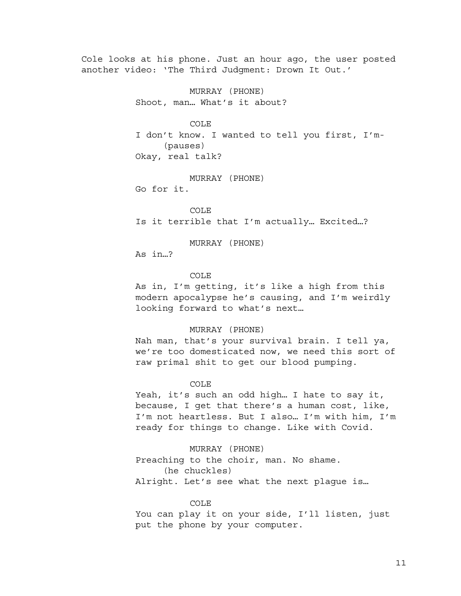Cole looks at his phone. Just an hour ago, the user posted another video: 'The Third Judgment: Drown It Out.'

> MURRAY (PHONE) Shoot, man… What's it about?

> > COLE

I don't know. I wanted to tell you first, I'm- (pauses) Okay, real talk?

MURRAY (PHONE) Go for it.

COLE Is it terrible that I'm actually… Excited…?

MURRAY (PHONE)

As in…?

COLE

As in, I'm getting, it's like a high from this modern apocalypse he's causing, and I'm weirdly looking forward to what's next…

#### MURRAY (PHONE)

Nah man, that's your survival brain. I tell ya, we're too domesticated now, we need this sort of raw primal shit to get our blood pumping.

#### COLE

Yeah, it's such an odd high… I hate to say it, because, I get that there's a human cost, like, I'm not heartless. But I also… I'm with him, I'm ready for things to change. Like with Covid.

MURRAY (PHONE) Preaching to the choir, man. No shame. (he chuckles) Alright. Let's see what the next plague is…

#### COLE

You can play it on your side, I'll listen, just put the phone by your computer.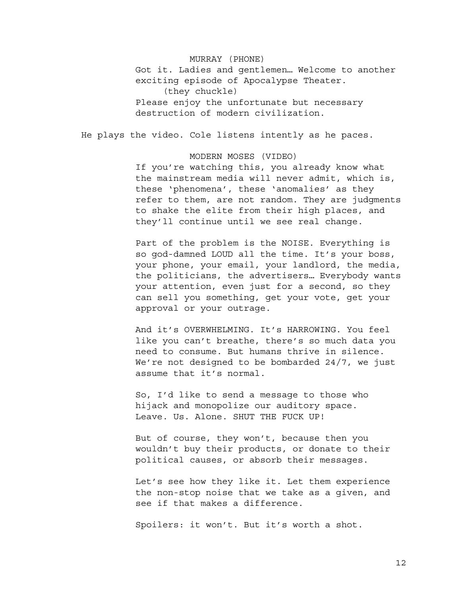MURRAY (PHONE) Got it. Ladies and gentlemen… Welcome to another exciting episode of Apocalypse Theater. (they chuckle) Please enjoy the unfortunate but necessary destruction of modern civilization.

He plays the video. Cole listens intently as he paces.

MODERN MOSES (VIDEO)

If you're watching this, you already know what the mainstream media will never admit, which is, these 'phenomena', these 'anomalies' as they refer to them, are not random. They are judgments to shake the elite from their high places, and they'll continue until we see real change.

Part of the problem is the NOISE. Everything is so god-damned LOUD all the time. It's your boss, your phone, your email, your landlord, the media, the politicians, the advertisers… Everybody wants your attention, even just for a second, so they can sell you something, get your vote, get your approval or your outrage.

And it's OVERWHELMING. It's HARROWING. You feel like you can't breathe, there's so much data you need to consume. But humans thrive in silence. We're not designed to be bombarded 24/7, we just assume that it's normal.

So, I'd like to send a message to those who hijack and monopolize our auditory space. Leave. Us. Alone. SHUT THE FUCK UP!

But of course, they won't, because then you wouldn't buy their products, or donate to their political causes, or absorb their messages.

Let's see how they like it. Let them experience the non-stop noise that we take as a given, and see if that makes a difference.

Spoilers: it won't. But it's worth a shot.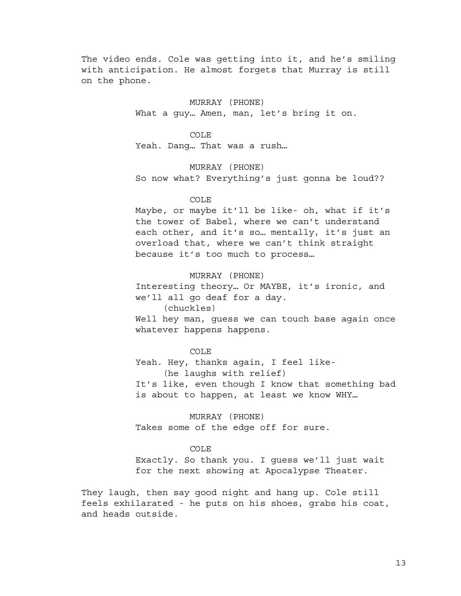The video ends. Cole was getting into it, and he's smiling with anticipation. He almost forgets that Murray is still on the phone.

> MURRAY (PHONE) What a guy… Amen, man, let's bring it on.

> > COLE

Yeah. Dang… That was a rush…

MURRAY (PHONE) So now what? Everything's just gonna be loud??

## COLE

Maybe, or maybe it'll be like- oh, what if it's the tower of Babel, where we can't understand each other, and it's so... mentally, it's just an overload that, where we can't think straight because it's too much to process…

MURRAY (PHONE) Interesting theory… Or MAYBE, it's ironic, and we'll all go deaf for a day. (chuckles)

Well hey man, guess we can touch base again once whatever happens happens.

COLE

Yeah. Hey, thanks again, I feel like- (he laughs with relief) It's like, even though I know that something bad is about to happen, at least we know WHY…

MURRAY (PHONE) Takes some of the edge off for sure.

## COLE

Exactly. So thank you. I guess we'll just wait for the next showing at Apocalypse Theater.

They laugh, then say good night and hang up. Cole still feels exhilarated - he puts on his shoes, grabs his coat, and heads outside.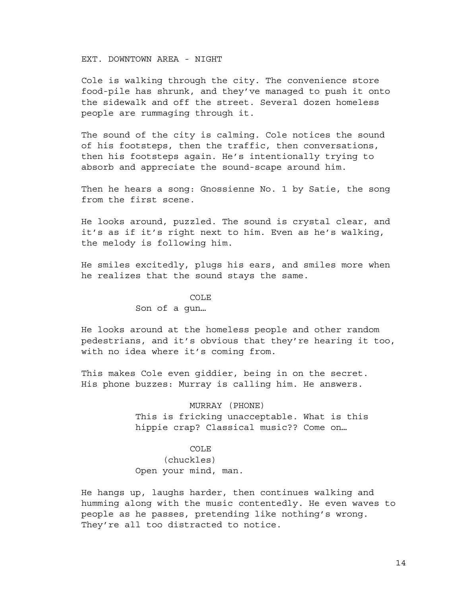EXT. DOWNTOWN AREA - NIGHT

Cole is walking through the city. The convenience store food-pile has shrunk, and they've managed to push it onto the sidewalk and off the street. Several dozen homeless people are rummaging through it.

The sound of the city is calming. Cole notices the sound of his footsteps, then the traffic, then conversations, then his footsteps again. He's intentionally trying to absorb and appreciate the sound-scape around him.

Then he hears a song: Gnossienne No. 1 by Satie, the song from the first scene.

He looks around, puzzled. The sound is crystal clear, and it's as if it's right next to him. Even as he's walking, the melody is following him.

He smiles excitedly, plugs his ears, and smiles more when he realizes that the sound stays the same.

#### COLE

#### Son of a gun…

He looks around at the homeless people and other random pedestrians, and it's obvious that they're hearing it too, with no idea where it's coming from.

This makes Cole even giddier, being in on the secret. His phone buzzes: Murray is calling him. He answers.

## MURRAY (PHONE)

This is fricking unacceptable. What is this hippie crap? Classical music?? Come on…

## COLE

(chuckles) Open your mind, man.

He hangs up, laughs harder, then continues walking and humming along with the music contentedly. He even waves to people as he passes, pretending like nothing's wrong. They're all too distracted to notice.